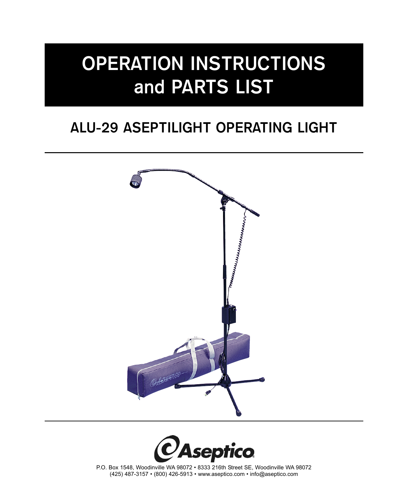# **OPERATION INSTRUCTIONS and PARTS LIST**

# **ALU-29 ASEPTILIGHT OPERATING LIGHT**





P.O. Box 1548, Woodinville WA 98072 • 8333 216th Street SE, Woodinville WA 98072 (425) 487-3157 • (800) 426-5913 • www.aseptico.com • info@aseptico.com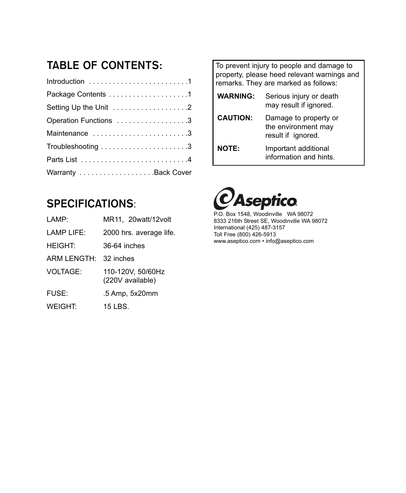#### **TABLE OF CONTENTS:**

| Setting Up the Unit 2 |
|-----------------------|
| Operation Functions 3 |
| Maintenance 3         |
|                       |
|                       |
|                       |

**SPECIFICATIONS**:

| LAMP:           | MR11, 20watt/12volt                   |  |  |
|-----------------|---------------------------------------|--|--|
| LAMP LIFF:      | 2000 hrs. average life.               |  |  |
| <b>HEIGHT:</b>  | 36-64 inches                          |  |  |
| ARM LENGTH:     | 32 inches                             |  |  |
| <b>VOLTAGE:</b> | 110-120V. 50/60Hz<br>(220V available) |  |  |
| FUSE:           | .5 Amp, 5x20mm                        |  |  |
| WEIGHT:         | 15 LBS.                               |  |  |

To prevent injury to people and damage to property, please heed relevant warnings and remarks. They are marked as follows:

| <b>WARNING:</b> | Serious injury or death<br>may result if ignored.                  |
|-----------------|--------------------------------------------------------------------|
| <b>CAUTION:</b> | Damage to property or<br>the environment may<br>result if ignored. |
| <b>NOTE:</b>    | Important additional<br>information and hints.                     |



P.O. Box 1548, Woodinville WA 98072 8333 216th Street SE, Woodinville WA 98072 International (425) 487-3157 Toll Free (800) 426-5913 www.aseptico.com • info@aseptico.com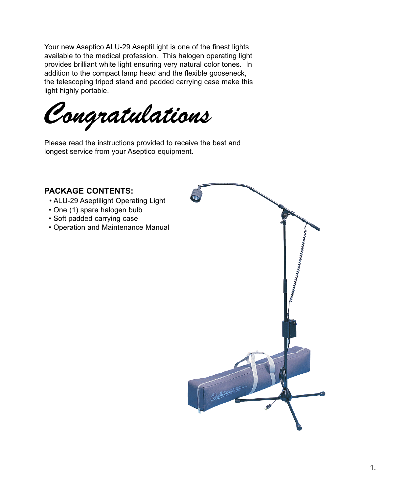Your new Aseptico ALU-29 AseptiLight is one of the finest lights available to the medical profession. This halogen operating light provides brilliant white light ensuring very natural color tones. In addition to the compact lamp head and the flexible gooseneck, the telescoping tripod stand and padded carrying case make this light highly portable.

Please read the instructions provided to receive the best and<br>Ingress caption from your Acoptice equipment longest service from your Aseptico equipment.

#### **PACKAGE CONTENTS:**

- ALU-29 Aseptilight Operating Light
- One (1) spare halogen bulb
- Soft padded carrying case
- Operation and Maintenance Manual

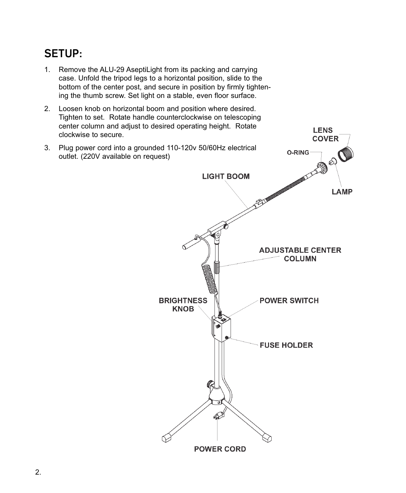#### **SETUP:**

- 1. Remove the ALU-29 AseptiLight from its packing and carrying case. Unfold the tripod legs to a horizontal position, slide to the bottom of the center post, and secure in position by firmly tightening the thumb screw. Set light on a stable, even floor surface.
- 2. Loosen knob on horizontal boom and position where desired. Tighten to set. Rotate handle counterclockwise on telescoping center column and adjust to desired operating height. Rotate clockwise to secure.
- 3. Plug power cord into a grounded 110-120v 50/60Hz electrical outlet. (220V available on request)



**LENS**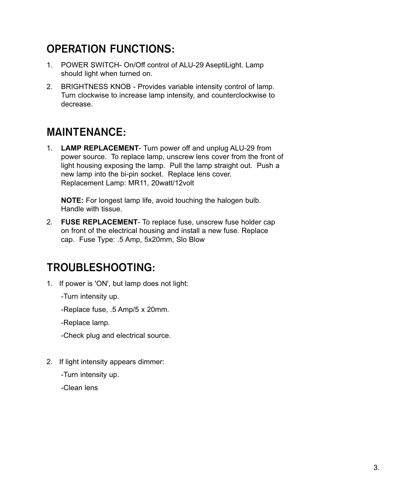### **OPERATION FUNCTIONS:**

- 1. POWER SWITCH- On/Off control of ALU-29 AseptiLight. Lamp should light when turned on.
- 2. BRIGHTNESS KNOB Provides variable intensity control of lamp. Turn clockwise to increase lamp intensity, and counterclockwise to decrease.

#### **MAINTENANCE:**

1. **LAMP REPLACEMENT**- Turn power off and unplug ALU-29 from power source. To replace lamp, unscrew lens cover from the front of light housing exposing the lamp. Pull the lamp straight out. Push a new lamp into the bi-pin socket. Replace lens cover. Replacement Lamp: MR11, 20watt/12volt

**NOTE:** For longest lamp life, avoid touching the halogen bulb. Handle with tissue.

2. **FUSE REPLACEMENT**- To replace fuse, unscrew fuse holder cap on front of the electrical housing and install a new fuse. Replace cap. Fuse Type: .5 Amp, 5x20mm, Slo Blow

#### **TROUBLESHOOTING:**

1. If power is 'ON', but lamp does not light:

-Turn intensity up.

-Replace fuse, .5 Amp/5 x 20mm.

-Replace lamp.

-Check plug and electrical source.

2. If light intensity appears dimmer:

-Turn intensity up.

-Clean lens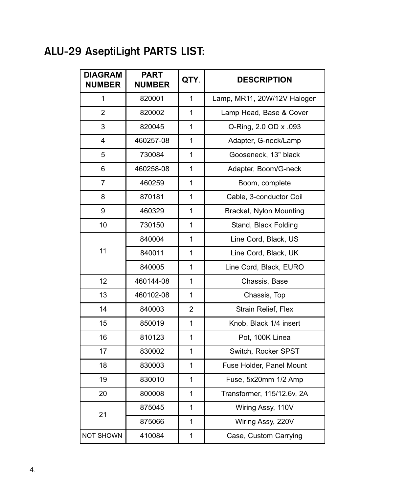## **ALU-29 AseptiLight PARTS LIST:**

| <b>DIAGRAM</b><br><b>NUMBER</b> | <b>PART</b><br><b>NUMBER</b> | QTY.           | <b>DESCRIPTION</b>          |
|---------------------------------|------------------------------|----------------|-----------------------------|
| 1                               | 820001                       | 1              | Lamp, MR11, 20W/12V Halogen |
| $\overline{2}$                  | 820002                       | 1              | Lamp Head, Base & Cover     |
| 3                               | 820045                       | 1              | O-Ring, 2.0 OD x .093       |
| 4                               | 460257-08                    | $\mathbf{1}$   | Adapter, G-neck/Lamp        |
| 5                               | 730084                       | $\mathbf{1}$   | Gooseneck, 13" black        |
| 6                               | 460258-08                    | 1              | Adapter, Boom/G-neck        |
| 7                               | 460259                       | 1              | Boom, complete              |
| 8                               | 870181                       | 1              | Cable, 3-conductor Coil     |
| 9                               | 460329                       | $\mathbf{1}$   | Bracket, Nylon Mounting     |
| 10                              | 730150                       | $\mathbf{1}$   | Stand, Black Folding        |
|                                 | 840004                       | 1              | Line Cord, Black, US        |
| 11                              | 840011                       | 1              | Line Cord, Black, UK        |
|                                 | 840005                       | $\mathbf{1}$   | Line Cord, Black, EURO      |
| 12                              | 460144-08                    | $\mathbf{1}$   | Chassis, Base               |
| 13                              | 460102-08                    | 1              | Chassis, Top                |
| 14                              | 840003                       | $\overline{2}$ | Strain Relief, Flex         |
| 15                              | 850019                       | 1              | Knob, Black 1/4 insert      |
| 16                              | 810123                       | $\mathbf{1}$   | Pot, 100K Linea             |
| 17                              | 830002                       | $\mathbf{1}$   | Switch, Rocker SPST         |
| 18                              | 830003                       | 1              | Fuse Holder, Panel Mount    |
| 19                              | 830010                       | 1              | Fuse, 5x20mm 1/2 Amp        |
| 20                              | 800008                       | 1              | Transformer, 115/12.6v, 2A  |
| 21                              | 875045                       | $\mathbf{1}$   | Wiring Assy, 110V           |
|                                 | 875066                       | $\overline{1}$ | Wiring Assy, 220V           |
| <b>NOT SHOWN</b>                | 410084                       | $\mathbf{1}$   | Case, Custom Carrying       |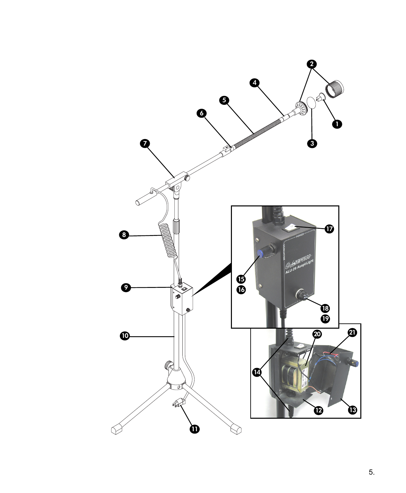